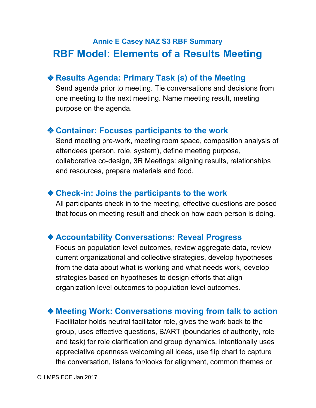# **Annie E Casey NAZ S3 RBF Summary RBF Model: Elements of a Results Meeting**

# ❖**Results Agenda: Primary Task (s) of the Meeting**

Send agenda prior to meeting. Tie conversations and decisions from one meeting to the next meeting. Name meeting result, meeting purpose on the agenda.

## ❖**Container: Focuses participants to the work**

Send meeting pre-work, meeting room space, composition analysis of attendees (person, role, system), define meeting purpose, collaborative co-design, 3R Meetings: aligning results, relationships and resources, prepare materials and food.

## ❖**Check-in: Joins the participants to the work**

All participants check in to the meeting, effective questions are posed that focus on meeting result and check on how each person is doing.

#### ❖**Accountability Conversations: Reveal Progress**

Focus on population level outcomes, review aggregate data, review current organizational and collective strategies, develop hypotheses from the data about what is working and what needs work, develop strategies based on hypotheses to design efforts that align organization level outcomes to population level outcomes.

## ❖**Meeting Work: Conversations moving from talk to action**

Facilitator holds neutral facilitator role, gives the work back to the group, uses effective questions, B/ART (boundaries of authority, role and task) for role clarification and group dynamics, intentionally uses appreciative openness welcoming all ideas, use flip chart to capture the conversation, listens for/looks for alignment, common themes or